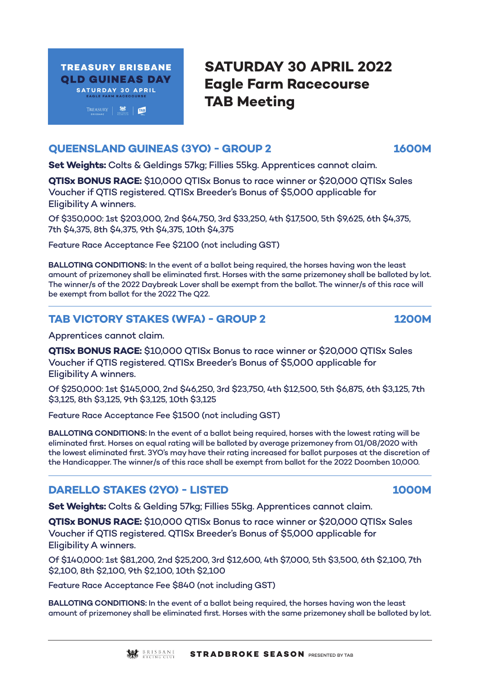

# **SATURDAY 30 APRIL 2022 Eagle Farm Racecourse TAB Meeting**

### **QUEENSLAND GUINEAS (3YO) - GROUP 2 1600M**

**Set Weights:** Colts & Geldings 57kg; Fillies 55kg. Apprentices cannot claim.

**QTISx BONUS RACE:** \$10,000 QTISx Bonus to race winner or \$20,000 QTISx Sales Voucher if QTIS registered. QTISx Breeder's Bonus of \$5,000 applicable for Eligibility A winners.

Of \$350,000: 1st \$203,000, 2nd \$64,750, 3rd \$33,250, 4th \$17,500, 5th \$9,625, 6th \$4,375, 7th \$4,375, 8th \$4,375, 9th \$4,375, 10th \$4,375

Feature Race Acceptance Fee \$2100 (not including GST)

**BALLOTING CONDITIONS:** In the event of a ballot being required, the horses having won the least amount of prizemoney shall be eliminated first. Horses with the same prizemoney shall be balloted by lot. The winner/s of the 2022 Daybreak Lover shall be exempt from the ballot. The winner/s of this race will be exempt from ballot for the 2022 The Q22.

# **TAB VICTORY STAKES (WFA) - GROUP 2 1200M**

Apprentices cannot claim.

**QTISx BONUS RACE:** \$10,000 QTISx Bonus to race winner or \$20,000 QTISx Sales Voucher if QTIS registered. QTISx Breeder's Bonus of \$5,000 applicable for Eligibility A winners.

Of \$250,000: 1st \$145,000, 2nd \$46,250, 3rd \$23,750, 4th \$12,500, 5th \$6,875, 6th \$3,125, 7th \$3,125, 8th \$3,125, 9th \$3,125, 10th \$3,125

Feature Race Acceptance Fee \$1500 (not including GST)

**BALLOTING CONDITIONS:** In the event of a ballot being required, horses with the lowest rating will be eliminated first. Horses on equal rating will be balloted by average prizemoney from 01/08/2020 with the lowest eliminated first. 3YO's may have their rating increased for ballot purposes at the discretion of the Handicapper. The winner/s of this race shall be exempt from ballot for the 2022 Doomben 10,000.

# **DARELLO STAKES (2YO) - LISTED 1000M**

**Set Weights:** Colts & Gelding 57kg; Fillies 55kg. Apprentices cannot claim.

**QTISx BONUS RACE:** \$10,000 QTISx Bonus to race winner or \$20,000 QTISx Sales Voucher if QTIS registered. QTISx Breeder's Bonus of \$5,000 applicable for Eligibility A winners.

Of \$140,000: 1st \$81,200, 2nd \$25,200, 3rd \$12,600, 4th \$7,000, 5th \$3,500, 6th \$2,100, 7th \$2,100, 8th \$2,100, 9th \$2,100, 10th \$2,100

Feature Race Acceptance Fee \$840 (not including GST)

**BALLOTING CONDITIONS:** In the event of a ballot being required, the horses having won the least amount of prizemoney shall be eliminated first. Horses with the same prizemoney shall be balloted by lot.